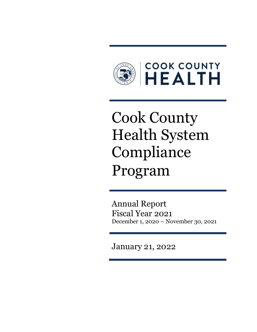

# Cook County Health System Compliance Program

Annual Report Fiscal Year 2021 December 1, 2020 – November 30, 2021

January 21, 2022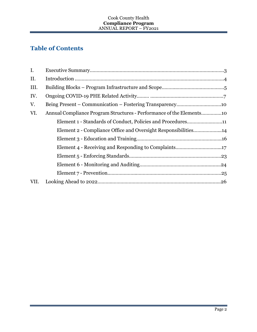# **Table of Contents**

| I.   |                                                                      |
|------|----------------------------------------------------------------------|
| II.  |                                                                      |
| III. |                                                                      |
| IV.  |                                                                      |
| V.   |                                                                      |
| VI.  | Annual Compliance Program Structures - Performance of the Elements10 |
|      | Element 1 - Standards of Conduct, Policies and Procedures11          |
|      | Element 2 - Compliance Office and Oversight Responsibilities14       |
|      |                                                                      |
|      |                                                                      |
|      |                                                                      |
|      |                                                                      |
|      |                                                                      |
| VII. |                                                                      |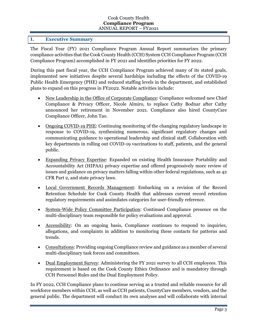# **I. Executive Summary**

The Fiscal Year (FY) 2021 Compliance Program Annual Report summarizes the primary compliance activities that the Cook County Health (CCH) System CCH Compliance Program (CCH Compliance Program) accomplished in FY 2021 and identifies priorities for FY 2022.

During this past fiscal year, the CCH Compliance Program achieved many of its stated goals, implemented new initiatives despite several hardships including the effects of the COVID-19 Public Health Emergency (PHE) and reduced staffing levels in the department, and established plans to expand on this progress in FY2022. Notable activities include:

- New Leadership in the Office of Corporate Compliance: Compliance welcomed new Chief Compliance & Privacy Officer, Nicole Almiro, to replace Cathy Bodnar after Cathy announced her retirement in November 2021. Compliance also hired CountyCare Compliance Officer, John Tao.
- Ongoing COVID-19 PHE: Continuing monitoring of the changing regulatory landscape in response to COVID-19, synthesizing numerous, significant regulatory changes and communicating guidance to operational leadership and clinical staff. Collaboration with key departments in rolling out COVID-19 vaccinations to staff, patients, and the general public.
- Expanding Privacy Expertise: Expanded on existing Health Insurance Portability and Accountability Act (HIPAA) privacy expertise and offered progressively more review of issues and guidance on privacy matters falling within other federal regulations, such as 42 CFR Part 2, and state privacy laws.
- Local Government Records Management: Embarking on a revision of the Record Retention Schedule for Cook County Health that addresses current record retention regulatory requirements and assimilates categories for user-friendly reference.
- System-Wide Policy Committee Participation: Continued Compliance presence on the multi-disciplinary team responsible for policy evaluations and approval.
- Accessibility: On an ongoing basis, Compliance continues to respond to inquiries, allegations, and complaints in addition to monitoring these contacts for patterns and trends.
- Consultations: Providing ongoing Compliance review and guidance as a member of several multi-disciplinary task forces and committees.
- Dual Employment Survey: Administering the FY 2021 survey to all CCH employees. This requirement is based on the Cook County Ethics Ordinance and is mandatory through CCH Personnel Rules and the Dual Employment Policy.

In FY 2022, CCH Compliance plans to continue serving as a trusted and reliable resource for all workforce members within CCH, as well as CCH patients, CountyCare members, vendors, and the general public. The department will conduct its own analyses and will collaborate with internal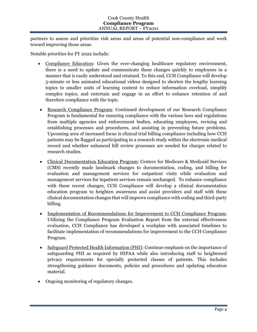partners to assess and prioritize risk areas and areas of potential non-compliance and work toward improving those areas.

Notable priorities for FY 2022 include:

- Compliance Education: Given the ever-changing healthcare regulatory environment, there is a need to update and communicate these changes quickly to employees in a manner that is easily understood and retained. To this end, CCH Compliance will develop 5-minute or less animated educational videos designed to shorten the lengthy learning topics to smaller units of learning content to reduce information overload, simplify complex topics, and entertain and engage in an effort to enhance retention of and therefore compliance with the topic.
- Research Compliance Program: Continued development of our Research Compliance Program is fundamental for ensuring compliance with the various laws and regulations from multiple agencies and enforcement bodies, educating employees, revising and establishing processes and procedures, and assisting in preventing future problems. Upcoming area of increased focus is clinical trial billing compliance including how CCH patients may be flagged as participating in a research study within the electronic medical record and whether enhanced bill review processes are needed for charges related to research studies.
- Clinical Documentation Education Program: Centers for Medicare & Medicaid Services (CMS) recently made landmark changes to documentation, coding, and billing for evaluation and management services for outpatient visits while evaluation and management services for inpatient services remain unchanged. To enhance compliance with these recent changes, CCH Compliance will develop a clinical documentation education program to heighten awareness and assist providers and staff with these clinical documentation changes that will improve compliance with coding and third-party billing.
- Implementation of Recommendations for Improvement to CCH Compliance Program: Utilizing the Compliance Program Evaluation Report from the external effectiveness evaluation, CCH Compliance has developed a workplan with associated timelines to facilitate implementation of recommendations for improvement to the CCH Compliance Program.
- Safeguard Protected Health Information (PHI): Continue emphasis on the importance of safeguarding PHI as required by HIPAA while also introducing staff to heightened privacy requirements for specially protected classes of patients. This includes strengthening guidance documents, policies and procedures and updating education material.
- Ongoing monitoring of regulatory changes.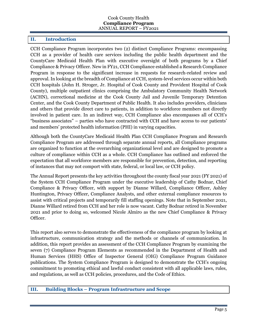#### **II. Introduction**

CCH Compliance Program incorporates two (2) distinct Compliance Programs: encompassing CCH as a provider of health care services including the public health department and the CountyCare Medicaid Health Plan with executive oversight of both programs by a Chief Compliance & Privacy Officer. New in FY21, CCH Compliance established a Research Compliance Program in response to the significant increase in requests for research-related review and approval. In looking at the breadth of Compliance at CCH, system-level services occur within both CCH hospitals (John H. Stroger, Jr. Hospital of Cook County and Provident Hospital of Cook County), multiple outpatient clinics comprising the Ambulatory Community Health Network (ACHN), correctional medicine at the Cook County Jail and Juvenile Temporary Detention Center, and the Cook County Department of Public Health. It also includes providers, clinicians and others that provide direct care to patients, in addition to workforce members not directly involved in patient care. In an indirect way, CCH Compliance also encompasses all of CCH's "business associates" – parties who have contracted with CCH and have access to our patients' and members' protected health information (PHI) in varying capacities.

Although both the CountyCare Medicaid Health Plan CCH Compliance Program and Research Compliance Program are addressed through separate annual reports, all Compliance programs are organized to function at the overarching organizational level and are designed to promote a culture of compliance within CCH as a whole. CCH Compliance has outlined and enforced the expectation that all workforce members are responsible for prevention, detection, and reporting of instances that may not comport with state, federal, or local law, or CCH policy.

The Annual Report presents the key activities throughout the county fiscal year 2021 (FY 2021) of the System CCH Compliance Program under the executive leadership of Cathy Bodnar, Chief Compliance & Privacy Officer, with support by Dianne Willard, Compliance Officer, Ashley Huntington, Privacy Officer, Compliance Analysts, and other external compliance resources to assist with critical projects and temporarily fill staffing openings. Note that in September 2021, Dianne Willard retired from CCH and her role is now vacant. Cathy Bodnar retired in November 2021 and prior to doing so, welcomed Nicole Almiro as the new Chief Compliance & Privacy Officer.

This report also serves to demonstrate the effectiveness of the compliance program by looking at infrastructure, communication strategy and the methods or channels of communication. In addition, this report provides an assessment of the CCH Compliance Program by examining the seven (7) Compliance Program Elements as recommended in the Department of Health and Human Services (HHS) Office of Inspector General (OIG) Compliance Program Guidance publications. The System Compliance Program is designed to demonstrate the CCH's ongoing commitment to promoting ethical and lawful conduct consistent with all applicable laws, rules, and regulations, as well as CCH policies, procedures, and the Code of Ethics.

### **III. Building Blocks – Program Infrastructure and Scope**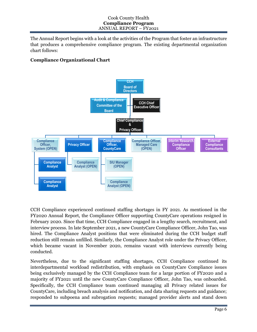The Annual Report begins with a look at the activities of the Program that foster an infrastructure that produces a comprehensive compliance program. The existing departmental organization chart follows:

# **Compliance Organizational Chart**



CCH Compliance experienced continued staffing shortages in FY 2021. As mentioned in the FY2020 Annual Report, the Compliance Officer supporting CountyCare operations resigned in February 2020. Since that time, CCH Compliance engaged in a lengthy search, recruitment, and interview process. In late September 2021, a new CountyCare Compliance Officer, John Tao, was hired. The Compliance Analyst positions that were eliminated during the CCH budget staff reduction still remain unfilled. Similarly, the Compliance Analyst role under the Privacy Officer, which became vacant in November 2020, remains vacant with interviews currently being conducted.

Nevertheless, due to the significant staffing shortages, CCH Compliance continued its interdepartmental workload redistribution, with emphasis on CountyCare Compliance issues being exclusively managed by the CCH Compliance team for a large portion of FY2020 and a majority of FY2021 until the new CountyCare Compliance Officer, John Tao, was onboarded. Specifically, the CCH Compliance team continued managing all Privacy related issues for CountyCare, including breach analysis and notification, and data sharing requests and guidance; responded to subpoena and subrogation requests; managed provider alerts and stand down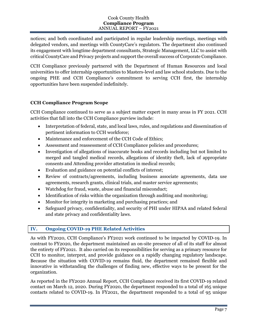notices; and both coordinated and participated in regular leadership meetings, meetings with delegated vendors, and meetings with CountyCare's regulators. The department also continued its engagement with longtime department consultants, Strategic Management, LLC to assist with critical CountyCare and Privacy projects and support the overall success of Corporate Compliance.

CCH Compliance previously partnered with the Department of Human Resources and local universities to offer internship opportunities to Masters-level and law school students. Due to the ongoing PHE and CCH Compliance's commitment to serving CCH first, the internship opportunities have been suspended indefinitely.

# **CCH Compliance Program Scope**

CCH Compliance continued to serve as a subject matter expert in many areas in FY 2021. CCH activities that fall into the CCH Compliance purview include:

- Interpretation of federal, state, and local laws, rules, and regulations and dissemination of pertinent information to CCH workforce;
- Maintenance and enforcement of the CCH Code of Ethics;
- Assessment and reassessment of CCH Compliance policies and procedures;
- Investigation of allegations of inaccurate books and records including but not limited to merged and tangled medical records, allegations of identity theft, lack of appropriate consents and Attending provider attestation in medical records;
- Evaluation and guidance on potential conflicts of interest;
- Review of contracts/agreements, including business associate agreements, data use agreements, research grants, clinical trials, and master service agreements;
- Watchdog for fraud, waste, abuse and financial misconduct;
- Identification of risks within the organization through auditing and monitoring;
- Monitor for integrity in marketing and purchasing practices; and
- Safeguard privacy, confidentiality, and security of PHI under HIPAA and related federal and state privacy and confidentiality laws.

# **IV. Ongoing COVID-19 PHE Related Activities**

As with FY2020, CCH Compliance's FY2021 work continued to be impacted by COVID-19. In contrast to FY2020, the department maintained an on-site presence of all of its staff for almost the entirety of FY2021. It also carried on its responsibilities for serving as a primary resource for CCH to monitor, interpret, and provide guidance on a rapidly changing regulatory landscape. Because the situation with COVID-19 remains fluid, the department remained flexible and innovative in withstanding the challenges of finding new, effective ways to be present for the organization.

As reported in the FY2020 Annual Report, CCH Compliance received its first COVID-19 related contact on March 12, 2020. During FY2020, the department responded to a total of 165 unique contacts related to COVID-19. In FY2021, the department responded to a total of 95 unique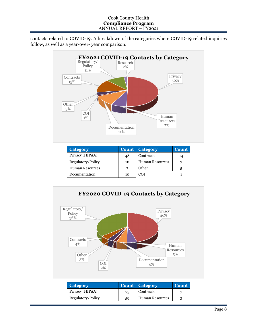contacts related to COVID-19. A breakdown of the categories where COVID-19 related inquiries follow, as well as a year-over- year comparison:



| <b>Category</b>        |    | Count Category         | Count |
|------------------------|----|------------------------|-------|
| Privacy (HIPAA)        | 48 | Contracts              | 14    |
| Regulatory/Policy      | 10 | <b>Human Resources</b> |       |
| <b>Human Resources</b> |    | Other                  | 5     |
| Documentation          | 10 | COI                    |       |



| <b>Category</b>   |    | Count Category         | <b>Count</b> |
|-------------------|----|------------------------|--------------|
| Privacy (HIPAA)   | 75 | Contracts              |              |
| Regulatory/Policy | 59 | <b>Human Resources</b> |              |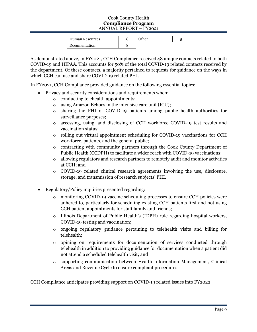| <b>Human Resources</b> | Other |  |
|------------------------|-------|--|
| Documentation          |       |  |

As demonstrated above, in FY2021, CCH Compliance received 48 unique contacts related to both COVID-19 and HIPAA. This accounts for 50% of the total COVID-19 related contacts received by the department. Of these contacts, a majority pertained to requests for guidance on the ways in which CCH can use and share COVID-19 related PHI.

In FY2021, CCH Compliance provided guidance on the following essential topics:

- Privacy and security considerations and requirements when:
	- o conducting telehealth appointments;
	- o using Amazon Echoes in the intensive care unit (ICU);
	- o sharing the PHI of COVID-19 patients among public health authorities for surveillance purposes;
	- o accessing, using, and disclosing of CCH workforce COVID-19 test results and vaccination status;
	- $\circ$  rolling out virtual appointment scheduling for COVID-19 vaccinations for CCH workforce, patients, and the general public;
	- $\circ$  contracting with community partners through the Cook County Department of Public Health (CCDPH) to facilitate a wider reach with COVID-19 vaccinations;
	- o allowing regulators and research partners to remotely audit and monitor activities at CCH; and
	- o COVID-19 related clinical research agreements involving the use, disclosure, storage, and transmission of research subjects' PHI.
- Regulatory/Policy inquiries presented regarding:
	- o monitoring COVID-19 vaccine scheduling processes to ensure CCH policies were adhered to, particularly for scheduling existing CCH patients first and not using CCH patient appointments for staff family and friends;
	- o Illinois Department of Public Health's (IDPH) rule regarding hospital workers, COVID-19 testing and vaccination;
	- o ongoing regulatory guidance pertaining to telehealth visits and billing for telehealth;
	- $\circ$  opining on requirements for documentation of services conducted through telehealth in addition to providing guidance for documentation when a patient did not attend a scheduled telehealth visit; and
	- $\circ$  supporting communication between Health Information Management, Clinical Areas and Revenue Cycle to ensure compliant procedures.

CCH Compliance anticipates providing support on COVID-19 related issues into FY2022.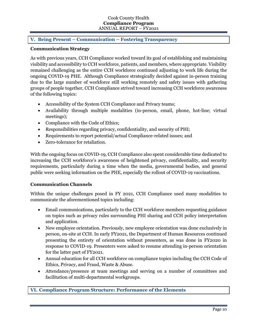# **V. Being Present – Communication – Fostering Transparency**

#### **Communication Strategy**

As with previous years, CCH Compliance worked toward its goal of establishing and maintaining visibility and accessibility to CCH workforce, patients, and members, where appropriate. Visibility remained challenging as the entire CCH workforce continued adjusting to work life during the ongoing COVID-19 PHE. Although Compliance strategically decided against in-person training due to the large number of workforce still working remotely and safety issues with gathering groups of people together, CCH Compliance strived toward increasing CCH workforce awareness of the following topics:

- Accessibility of the System CCH Compliance and Privacy teams;
- Availability through multiple modalities (in-person, email, phone, hot-line; virtual meetings);
- Compliance with the Code of Ethics;
- Responsibilities regarding privacy, confidentiality, and security of PHI;
- Requirements to report potential/actual Compliance-related issues; and
- Zero-tolerance for retaliation.

With the ongoing focus on COVID-19, CCH Compliance also spent considerable time dedicated to increasing the CCH workforce's awareness of heightened privacy, confidentiality, and security requirements, particularly during a time when the media, governmental bodies, and general public were seeking information on the PHE, especially the rollout of COVID-19 vaccinations.

### **Communication Channels**

Within the unique challenges posed in FY 2021, CCH Compliance used many modalities to communicate the aforementioned topics including:

- Email communications, particularly to the CCH workforce members requesting guidance on topics such as privacy rules surrounding PHI sharing and CCH policy interpretation and application.
- New employee orientation. Previously, new employee orientation was done exclusively in person, on-site at CCH. In early FY2021, the Department of Human Resources continued presenting the entirety of orientation without presenters, as was done in FY2020 in response to COVID-19. Presenters were asked to resume attending in-person orientation for the latter part of FY2021.
- Annual education for all CCH workforce on compliance topics including the CCH Code of Ethics, Privacy, and Fraud, Waste & Abuse.
- Attendance/presence at team meetings and serving on a number of committees and facilitation of multi-departmental workgroups.

**VI. Compliance Program Structure: Performance of the Elements**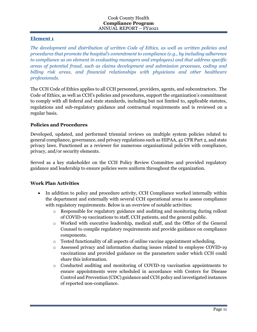# **Element 1**

*The development and distribution of written Code of Ethics, as well as written policies and procedures that promote the hospital's commitment to compliance (e.g., by including adherence to compliance as an element in evaluating managers and employees) and that address specific areas of potential fraud, such as claims development and submission processes, coding and billing risk areas, and financial relationships with physicians and other healthcare professionals.*

The CCH Code of Ethics applies to all CCH personnel, providers, agents, and subcontractors. The Code of Ethics, as well as CCH's policies and procedures, support the organization's commitment to comply with all federal and state standards, including but not limited to, applicable statutes, regulations and sub-regulatory guidance and contractual requirements and is reviewed on a regular basis.

# **Policies and Procedures**

Developed, updated, and performed triennial reviews on multiple system policies related to general compliance, governance, and privacy regulations such as HIPAA, 42 CFR Part 2, and state privacy laws. Functioned as a reviewer for numerous organizational policies with compliance, privacy, and/or security elements.

Served as a key stakeholder on the CCH Policy Review Committee and provided regulatory guidance and leadership to ensure policies were uniform throughout the organization.

### **Work Plan Activities**

- In addition to policy and procedure activity, CCH Compliance worked internally within the department and externally with several CCH operational areas to assess compliance with regulatory requirements. Below is an overview of notable activities:
	- o Responsible for regulatory guidance and auditing and monitoring during rollout of COVID-19 vaccinations to staff, CCH patients, and the general public.
	- o Worked with executive leadership, medical staff, and the Office of the General Counsel to compile regulatory requirements and provide guidance on compliance components.
	- $\circ$  Tested functionality of all aspects of online vaccine appointment scheduling.
	- o Assessed privacy and information sharing issues related to employee COVID-19 vaccinations and provided guidance on the parameters under which CCH could share this information.
	- o Conducted auditing and monitoring of COVID-19 vaccination appointments to ensure appointments were scheduled in accordance with Centers for Disease Control and Prevention (CDC) guidance and CCH policy and investigated instances of reported non-compliance.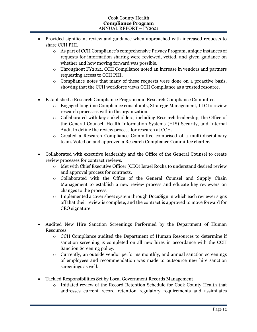- Provided significant review and guidance when approached with increased requests to share CCH PHI.
	- o As part of CCH Compliance's comprehensive Privacy Program, unique instances of requests for information sharing were reviewed, vetted, and given guidance on whether and how moving forward was possible.
	- o Throughout FY2021, CCH Compliance noted an increase in vendors and partners requesting access to CCH PHI.
	- $\circ$  Compliance notes that many of these requests were done on a proactive basis, showing that the CCH workforce views CCH Compliance as a trusted resource.
- Established a Research Compliance Program and Research Compliance Committee.
	- o Engaged longtime Compliance consultants, Strategic Management, LLC to review research processes within the organization.
	- o Collaborated with key stakeholders, including Research leadership, the Office of the General Counsel, Health Information Systems (HIS) Security, and Internal Audit to define the review process for research at CCH.
	- o Created a Research Compliance Committee comprised of a multi-disciplinary team. Voted on and approved a Research Compliance Committee charter.
- Collaborated with executive leadership and the Office of the General Counsel to create review processes for contract reviews.
	- o Met with Chief Executive Officer (CEO) Israel Rocha to understand desired review and approval process for contracts.
	- o Collaborated with the Office of the General Counsel and Supply Chain Management to establish a new review process and educate key reviewers on changes to the process.
	- $\circ$  Implemented a cover sheet system through DocuSign in which each reviewer signs off that their review is complete, and the contract is approved to move forward for CEO signature.
- Audited New Hire Sanction Screenings Performed by the Department of Human Resources.
	- o CCH Compliance audited the Department of Human Resources to determine if sanction screening is completed on all new hires in accordance with the CCH Sanction Screening policy.
	- $\circ$  Currently, an outside vendor performs monthly, and annual sanction screenings of employees and recommendation was made to outsource new hire sanction screenings as well.
- Tackled Responsibilities Set by Local Government Records Management
	- o Initiated review of the Record Retention Schedule for Cook County Health that addresses current record retention regulatory requirements and assimilates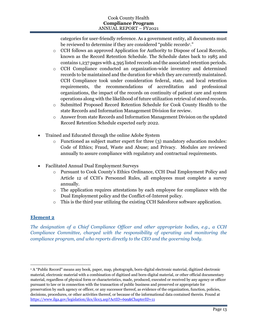categories for user-friendly reference. As a government entity, all documents must be reviewed to determine if they are considered "public records<sup>1</sup>."

- o CCH follows an approved Application for Authority to Dispose of Local Records, known as the Record Retention Schedule. The Schedule dates back to 1985 and contains 1,237 pages with 4,395 listed records and the associated retention periods.
- o CCH Compliance conducted an organization-wide inventory and determined records to be maintained and the duration for which they are currently maintained. CCH Compliance took under consideration federal, state, and local retention requirements, the recommendations of accreditation and professional organizations, the impact of the records on continuity of patient care and system operations along with the likelihood of future utilization retrieval of stored records.
- o Submitted Proposed Record Retention Schedule for Cook County Health to the state Records and Information Management Division for review.
- o Answer from state Records and Information Management Division on the updated Record Retention Schedule expected early 2022.
- Trained and Educated through the online Adobe System
	- $\circ$  Functioned as subject matter expert for three (3) mandatory education modules: Code of Ethics; Fraud, Waste and Abuse; and Privacy. Modules are reviewed annually to assure compliance with regulatory and contractual requirements.
- Facilitated Annual Dual Employment Surveys
	- o Pursuant to Cook County's Ethics Ordinance, CCH Dual Employment Policy and Article 12 of CCH's Personnel Rules, all employees must complete a survey annually.
	- o The application requires attestations by each employee for compliance with the Dual Employment policy and the Conflict-of-Interest policy.
	- o This is the third year utilizing the existing CCH Salesforce software application.

# **Element 2**

*The designation of a Chief Compliance Officer and other appropriate bodies, e.g., a CCH Compliance Committee, charged with the responsibility of operating and monitoring the compliance program, and who reports directly to the CEO and the governing body.*

<sup>1</sup> A "Public Record" means any book, paper, map, photograph, born-digital electronic material, digitized electronic material, electronic material with a combination of digitized and born-digital material, or other official documentary material, regardless of physical form or characteristics, made, produced, executed or received by any agency or officer pursuant to law or in connection with the transaction of public business and preserved or appropriate for preservation by such agency or officer, or any successor thereof, as evidence of the organization, function, policies, decisions, procedures, or other activities thereof, or because of the informational data contained therein. Found at https://www.ilga.gov/legislation/ilcs/ilcs3.asp?ActID=699&ChapterID=11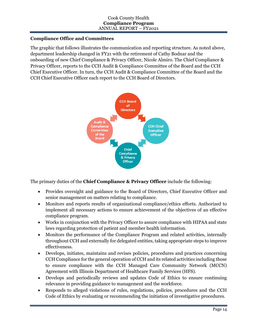# **Compliance Office and Committees**

The graphic that follows illustrates the communication and reporting structure. As noted above, department leadership changed in FY21 with the retirement of Cathy Bodnar and the onboarding of new Chief Compliance & Privacy Officer, Nicole Almiro. The Chief Compliance & Privacy Officer, reports to the CCH Audit & Compliance Committee of the Board and the CCH Chief Executive Officer. In turn, the CCH Audit & Compliance Committee of the Board and the CCH Chief Executive Officer each report to the CCH Board of Directors.



The primary duties of the **Chief Compliance & Privacy Officer** include the following:

- Provides oversight and guidance to the Board of Directors, Chief Executive Officer and senior management on matters relating to compliance.
- Monitors and reports results of organizational compliance/ethics efforts. Authorized to implement all necessary actions to ensure achievement of the objectives of an effective compliance program.
- Works in conjunction with the Privacy Officer to assure compliance with HIPAA and state laws regarding protection of patient and member health information.
- Monitors the performance of the Compliance Program and related activities, internally throughout CCH and externally for delegated entities, taking appropriate steps to improve effectiveness.
- Develops, initiates, maintains and revises policies, procedures and practices concerning CCH Compliance for the general operation of CCH and its related activities including those to ensure compliance with the CCH Managed Care Community Network (MCCN) Agreement with Illinois Department of Healthcare Family Services (HFS).
- Develops and periodically reviews and updates Code of Ethics to ensure continuing relevance in providing guidance to management and the workforce.
- Responds to alleged violations of rules, regulations, policies, procedures and the CCH Code of Ethics by evaluating or recommending the initiation of investigative procedures.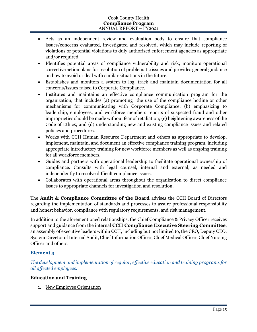- Acts as an independent review and evaluation body to ensure that compliance issues/concerns evaluated, investigated and resolved, which may include reporting of violations or potential violations to duly authorized enforcement agencies as appropriate and/or required.
- Identifies potential areas of compliance vulnerability and risk; monitors operational corrective action plans for resolution of problematic issues and provides general guidance on how to avoid or deal with similar situations in the future.
- Establishes and monitors a system to log, track and maintain documentation for all concerns/issues raised to Corporate Compliance.
- Institutes and maintains an effective compliance communication program for the organization, that includes (a) promoting the use of the compliance hotline or other mechanisms for communicating with Corporate Compliance; (b) emphasizing to leadership, employees, and workforce members reports of suspected fraud and other improprieties should be made without fear of retaliation; (c) heightening awareness of the Code of Ethics; and (d) understanding new and existing compliance issues and related policies and procedures.
- Works with CCH Human Resource Department and others as appropriate to develop, implement, maintain, and document an effective compliance training program, including appropriate introductory training for new workforce members as well as ongoing training for all workforce members.
- Guides and partners with operational leadership to facilitate operational ownership of compliance. Consults with legal counsel, internal and external, as needed and independently to resolve difficult compliance issues.
- Collaborates with operational areas throughout the organization to direct compliance issues to appropriate channels for investigation and resolution.

The **Audit & Compliance Committee of the Board** advises the CCH Board of Directors regarding the implementation of standards and processes to assure professional responsibility and honest behavior, compliance with regulatory requirements, and risk management.

In addition to the aforementioned relationships, the Chief Compliance & Privacy Officer receives support and guidance from the internal **CCH Compliance Executive Steering Committee**, an assembly of executive leaders within CCH, including but not limited to, the CEO, Deputy CEO, System Director of Internal Audit, Chief Information Officer, Chief Medical Officer, Chief Nursing Officer and others.

# **Element 3**

*The development and implementation of regular, effective education and training programs for all affected employees.*

# **Education and Training**

1. New Employee Orientation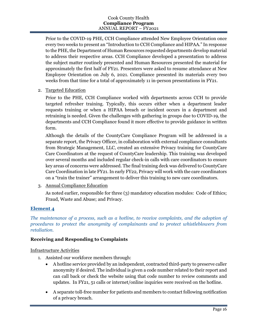Prior to the COVID-19 PHE, CCH Compliance attended New Employee Orientation once every two weeks to present an "Introduction to CCH Compliance and HIPAA." In response to the PHE, the Department of Human Resources requested departments develop material to address their respective areas. CCH Compliance developed a presentation to address the subject matter routinely presented and Human Resources presented the material for approximately the first half of FY21. Presenters were asked to resume attendance at New Employee Orientation on July 6, 2021. Compliance presented its materials every two weeks from that time for a total of approximately 11 in-person presentations in FY21.

2. Targeted Education

Prior to the PHE, CCH Compliance worked with departments across CCH to provide targeted refresher training. Typically, this occurs either when a department leader requests training or when a HIPAA breach or incident occurs in a department and retraining is needed. Given the challenges with gathering in groups due to COVID-19, the departments and CCH Compliance found it more effective to provide guidance in written form.

Although the details of the CountyCare Compliance Program will be addressed in a separate report, the Privacy Officer, in collaboration with external compliance consultants from Strategic Management, LLC, created an extensive Privacy training for CountyCare Care Coordinators at the request of CountyCare leadership. This training was developed over several months and included regular check-in calls with care coordinators to ensure key areas of concerns were addressed. The final training deck was delivered to CountyCare Care Coordination in late FY21. In early FY22, Privacy will work with the care coordinators on a "train the trainer" arrangement to deliver this training to new care coordinators.

3. Annual Compliance Education

As noted earlier, responsible for three (3) mandatory education modules: Code of Ethics; Fraud, Waste and Abuse; and Privacy.

# **Element 4**

*The maintenance of a process, such as a hotline, to receive complaints, and the adoption of procedures to protect the anonymity of complainants and to protect whistleblowers from retaliation.*

### **Receiving and Responding to Complaints**

### Infrastructure Activities

- 1. Assisted our workforce members through:
	- A hotline service provided by an independent, contracted third-party to preserve caller anonymity if desired. The individual is given a code number related to their report and can call back or check the website using that code number to review comments and updates. In FY21, 51 calls or internet/online inquiries were received on the hotline.
	- A separate toll-free number for patients and members to contact following notification of a privacy breach.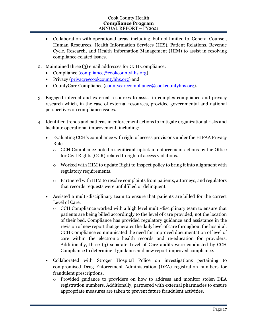- Collaboration with operational areas, including, but not limited to, General Counsel, Human Resources, Health Information Services (HIS), Patient Relations, Revenue Cycle, Research, and Health Information Management (HIM) to assist in resolving compliance-related issues.
- 2. Maintained three (3) email addresses for CCH Compliance:
	- Compliance (compliance@cookcountyhhs.org)
	- Privacy ( $\frac{p\text{rivacy}}{a\text{cookcountv}}$ hhs.org) and
	- CountyCare Compliance (countycarecompliance@cookcountyhhs.org).
- 3. Engaged internal and external resources to assist in complex compliance and privacy research which, in the case of external resources, provided governmental and national perspectives on compliance issues.
- 4. Identified trends and patterns in enforcement actions to mitigate organizational risks and facilitate operational improvement, including:
	- Evaluating CCH's compliance with right of access provisions under the HIPAA Privacy Rule.
		- o CCH Compliance noted a significant uptick in enforcement actions by the Office for Civil Rights (OCR) related to right of access violations.
		- o Worked with HIM to update Right to Inspect policy to bring it into alignment with regulatory requirements.
		- $\circ$  Partnered with HIM to resolve complaints from patients, attorneys, and regulators that records requests were unfulfilled or delinquent.
	- Assisted a multi-disciplinary team to ensure that patients are billed for the correct Level of Care.
		- $\circ$  CCH Compliance worked with a high level multi-disciplinary team to ensure that patients are being billed accordingly to the level of care provided, not the location of their bed. Compliance has provided regulatory guidance and assistance in the revision of new report that generates the daily level of care throughout the hospital. CCH Compliance communicated the need for improved documentation of level of care within the electronic health records and re-education for providers. Additionally, three (3) separate Level of Care audits were conducted by CCH Compliance to determine if guidance and new report improved compliance.
	- Collaborated with Stroger Hospital Police on investigations pertaining to compromised Drug Enforcement Administration (DEA) registration numbers for fraudulent prescriptions.
		- o Provided guidance to providers on how to address and monitor stolen DEA registration numbers. Additionally, partnered with external pharmacies to ensure appropriate measures are taken to prevent future fraudulent activities.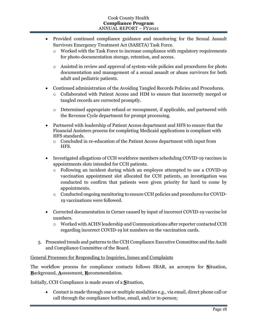- Provided continued compliance guidance and monitoring for the Sexual Assault Survivors Emergency Treatment Act (SASETA) Task Force.
	- o Worked with the Task Force to increase compliance with regulatory requirements for photo-documentation storage, retention, and access.
	- o Assisted in review and approval of system-wide policies and procedures for photo documentation and management of a sexual assault or abuse survivors for both adult and pediatric patients.
- Continued administration of the Avoiding Tangled Records Policies and Procedures.
	- o Collaborated with Patient Access and HIM to ensure that incorrectly merged or tangled records are corrected promptly.
	- o Determined appropriate refund or recoupment, if applicable, and partnered with the Revenue Cycle department for prompt processing.
- Partnered with leadership of Patient Access department and HFS to ensure that the Financial Assisters process for completing Medicaid applications is compliant with HFS standards.
	- o Concluded in re-education of the Patient Access department with input from HFS.
- Investigated allegations of CCH workforce members scheduling COVID-19 vaccines in appointments slots intended for CCH patients.
	- o Following an incident during which an employee attempted to use a COVID-19 vaccination appointment slot allocated for CCH patients, an investigation was conducted to confirm that patients were given priority for hard to come by appointments.
	- o Conducted ongoing monitoring to ensure CCH policies and procedures for COVID-19 vaccinations were followed.
- Corrected documentation in Cerner caused by input of incorrect COVID-19 vaccine lot numbers.
	- o Worked with ACHN leadership and Communications after reporter contacted CCH regarding incorrect COVID-19 lot numbers on the vaccination cards.
- 5. Presented trends and patterns to the CCH Compliance Executive Committee and the Audit and Compliance Committee of the Board.

### General Processes for Responding to Inquiries, Issues and Complaints

The workflow process for compliance contacts follows SBAR, an acronym for **S**ituation, **B**ackground, **A**ssessment, **R**ecommendation.

Initially, CCH Compliance is made aware of a **S**ituation,

• Contact is made through one or multiple modalities e.g., via email, direct phone call or call through the compliance hotline, email, and/or in-person;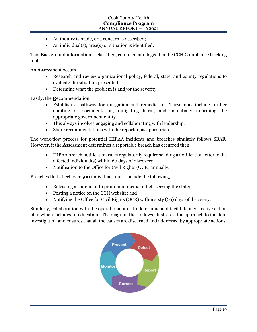- An inquiry is made, or a concern is described;
- An individual(s), area(s) or situation is identified.

This **B**ackground information is classified, compiled and logged in the CCH Compliance tracking tool.

An **A**ssessment occurs,

- Research and review organizational policy, federal, state, and county regulations to evaluate the situation presented;
- Determine what the problem is and/or the severity.

Lastly, the **R**ecommendation,

- Establish a pathway for mitigation and remediation. These may include further auditing of documentation, mitigating harm, and potentially informing the appropriate government entity.
- This always involves engaging and collaborating with leadership.
- Share recommendations with the reporter, as appropriate.

The work-flow process for potential HIPAA incidents and breaches similarly follows SBAR. However, if the **A**ssessment determines a reportable breach has occurred then,

- HIPAA breach notification rules regulatorily require sending a notification letter to the affected individual(s) within 60 days of discovery.
- Notification to the Office for Civil Rights (OCR) annually.

Breaches that affect over 500 individuals must include the following,

- Releasing a statement to prominent media outlets serving the state;
- Posting a notice on the CCH website; and
- Notifying the Office for Civil Rights (OCR) within sixty (60) days of discovery.

Similarly, collaboration with the operational area to determine and facilitate a corrective action plan which includes re-education. The diagram that follows illustrates the approach to incident investigation and ensures that all the causes are discerned and addressed by appropriate actions.

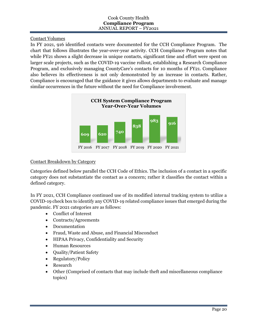Contact Volumes

In FY 2021, 916 identified contacts were documented for the CCH Compliance Program. The chart that follows illustrates the year-over-year activity. CCH Compliance Program notes that while FY21 shows a slight decrease in unique contacts, significant time and effort were spent on larger scale projects, such as the COVID-19 vaccine rollout, establishing a Research Compliance Program, and exclusively managing CountyCare's contacts for 10 months of FY21. Compliance also believes its effectiveness is not only demonstrated by an increase in contacts. Rather, Compliance is encouraged that the guidance it gives allows departments to evaluate and manage similar occurrences in the future without the need for Compliance involvement.



# Contact Breakdown by Category

Categories defined below parallel the CCH Code of Ethics. The inclusion of a contact in a specific category does not substantiate the contact as a concern; rather it classifies the contact within a defined category.

In FY 2021, CCH Compliance continued use of its modified internal tracking system to utilize a COVID-19 check box to identify any COVID-19 related compliance issues that emerged during the pandemic. FY 2021 categories are as follows:

- Conflict of Interest
- Contracts/Agreements
- Documentation
- Fraud, Waste and Abuse, and Financial Misconduct
- HIPAA Privacy, Confidentiality and Security
- Human Resources
- Quality/Patient Safety
- Regulatory/Policy
- Research
- Other (Comprised of contacts that may include theft and miscellaneous compliance topics)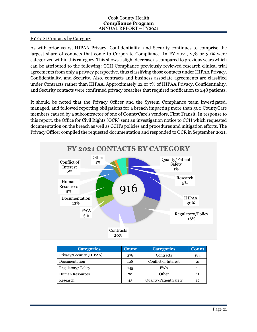### FY 2021 Contacts by Category

As with prior years, HIPAA Privacy, Confidentiality, and Security continues to comprise the largest share of contacts that come to Corporate Compliance. In FY 2021, 278 or 30% were categorized within this category. This shows a slight decrease as compared to previous years which can be attributed to the following: CCH Compliance previously reviewed research clinical trial agreements from only a privacy perspective, thus classifying those contacts under HIPAA Privacy, Confidentiality, and Security. Also, contracts and business associate agreements are classified under Contracts rather than HIPAA. Approximately 22 or 7% of HIPAA Privacy, Confidentiality, and Security contacts were confirmed privacy breaches that required notification to 248 patients.

It should be noted that the Privacy Officer and the System Compliance team investigated, managed, and followed reporting obligations for a breach impacting more than 500 CountyCare members caused by a subcontractor of one of CountyCare's vendors, First Transit. In response to this report, the Office for Civil Rights (OCR) sent an investigation notice to CCH which requested documentation on the breach as well as CCH's policies and procedures and mitigation efforts. The Privacy Officer compiled the requested documentation and responded to OCR in September 2021.



| <b>Categories</b>        | <b>Count</b> | <b>Categories</b>             | <b>Count</b> |
|--------------------------|--------------|-------------------------------|--------------|
| Privacy/Security (HIPAA) | 278          | Contracts                     | 184          |
| Documentation            | 108          | Conflict of Interest          | 21           |
| Regulatory/Policy        | 145          | <b>FWA</b>                    | 44           |
| <b>Human Resources</b>   | 70           | Other                         | 11           |
| Research                 | 43           | <b>Quality/Patient Safety</b> | 12           |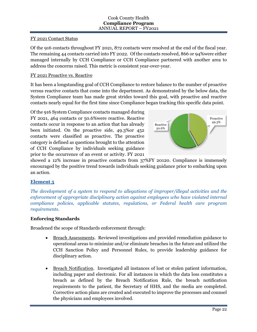## FY 2021 Contact Status

Of the 916 contacts throughout FY 2021, 872 contacts were resolved at the end of the fiscal year. The remaining 44 contacts carried into FY 2022. Of the contacts resolved, 866 or 94%were either managed internally by CCH Compliance or CCH Compliance partnered with another area to address the concerns raised. This metric is consistent year-over-year.

# FY 2021 Proactive vs. Reactive

It has been a longstanding goal of CCH Compliance to restore balance to the number of proactive versus reactive contacts that come into the department. As demonstrated by the below data, the System Compliance team has made great strides toward this goal, with proactive and reactive contacts nearly equal for the first time since Compliance began tracking this specific data point.

Of the 916 System Compliance contacts managed during FY 2021, 464 contacts or 50.6%were reactive. Reactive contacts occur in response to an action that has already been initiated. On the proactive side, 49.3%or 452 contacts were classified as proactive. The proactive category is defined as questions brought to the attention of CCH Compliance by individuals seeking guidance prior to the occurrence of an event or activity. FY 2021



showed a 12% increase in proactive contacts from 37%FY 20120. Compliance is immensely encouraged by the positive trend towards individuals seeking guidance prior to embarking upon an action.

# **Element 5**

*The development of a system to respond to allegations of improper/illegal activities and the enforcement of appropriate disciplinary action against employees who have violated internal compliance policies, applicable statutes, regulations, or Federal health care program requirements.*

# **Enforcing Standards**

Broadened the scope of Standards enforcement through:

- Breach Assessments. Reviewed investigations and provided remediation guidance to operational areas to minimize and/or eliminate breaches in the future and utilized the CCH Sanction Policy and Personnel Rules, to provide leadership guidance for disciplinary action.
- Breach Notification. Investigated all instances of lost or stolen patient information, including paper and electronic. For all instances in which the data loss constitutes a breach as defined by the Breach Notification Rule, the breach notification requirements to the patient, the Secretary of HHS, and the media are completed. Corrective action plans are created and executed to improve the processes and counsel the physicians and employees involved.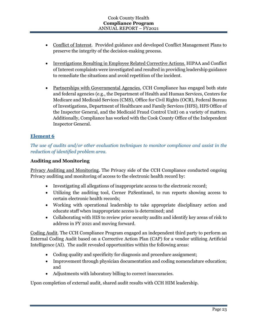- Conflict of Interest. Provided guidance and developed Conflict Management Plans to preserve the integrity of the decision-making process.
- Investigations Resulting in Employee Related Corrective Actions. HIPAA and Conflict of Interest complaints were investigated and resulted in providing leadership guidance to remediate the situations and avoid repetition of the incident.
- Partnerships with Governmental Agencies. CCH Compliance has engaged both state and federal agencies (e.g., the Department of Health and Human Services, Centers for Medicare and Medicaid Services (CMS), Office for Civil Rights (OCR), Federal Bureau of Investigations, Department of Healthcare and Family Services (HFS), HFS Office of the Inspector General, and the Medicaid Fraud Control Unit) on a variety of matters. Additionally, Compliance has worked with the Cook County Office of the Independent Inspector General.

# **Element 6**

*The use of audits and/or other evaluation techniques to monitor compliance and assist in the reduction of identified problem area.*

# **Auditing and Monitoring**

Privacy Auditing and Monitoring. The Privacy side of the CCH Compliance conducted ongoing Privacy auditing and monitoring of access to the electronic health record by:

- Investigating all allegations of inappropriate access to the electronic record;
- Utilizing the auditing tool, Cerner P2Sentinnel, to run reports showing access to certain electronic health records;
- Working with operational leadership to take appropriate disciplinary action and educate staff when inappropriate access is determined; and
- Collaborating with HIS to review prior security audits and identify key areas of risk to address in FY 2021 and moving forward.

Coding Audit. The CCH Compliance Program engaged an independent third party to perform an External Coding Audit based on a Corrective Action Plan (CAP) for a vendor utilizing Artificial Intelligence (AI). The audit revealed opportunities within the following areas:

- Coding quality and specificity for diagnosis and procedure assignment;
- Improvement through physician documentation and coding nomenclature education; and
- Adjustments with laboratory billing to correct inaccuracies.

Upon completion of external audit, shared audit results with CCH HIM leadership.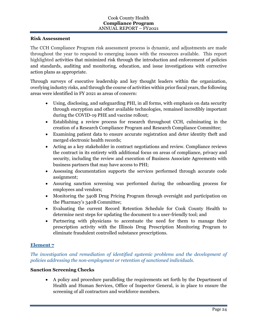#### **Risk Assessment**

The CCH Compliance Program risk assessment process is dynamic, and adjustments are made throughout the year to respond to emerging issues with the resources available. This report highlighted activities that minimized risk through the introduction and enforcement of policies and standards, auditing and monitoring, education, and issue investigations with corrective action plans as appropriate.

Through surveys of executive leadership and key thought leaders within the organization, overlying industry risks, and through the course of activities within prior fiscal years, the following areas were identified in FY 2021 as areas of concern:

- Using, disclosing, and safeguarding PHI, in all forms, with emphasis on data security through encryption and other available technologies, remained incredibly important during the COVID-19 PHE and vaccine rollout;
- Establishing a review process for research throughout CCH, culminating in the creation of a Research Compliance Program and Research Compliance Committee;
- Examining patient data to ensure accurate registration and deter identity theft and merged electronic health records;
- Acting as a key stakeholder in contract negotiations and review. Compliance reviews the contract in its entirety with additional focus on areas of compliance, privacy and security, including the review and execution of Business Associate Agreements with business partners that may have access to PHI;
- Assessing documentation supports the services performed through accurate code assignment;
- Assuring sanction screening was performed during the onboarding process for employees and vendors;
- Monitoring the 340B Drug Pricing Program through oversight and participation on the Pharmacy's 340B Committee;
- Evaluating the current Record Retention Schedule for Cook County Health to determine next steps for updating the document to a user-friendly tool; and
- Partnering with physicians to accentuate the need for them to manage their prescription activity with the Illinois Drug Prescription Monitoring Program to eliminate fraudulent controlled substance prescriptions.

### **Element 7**

*The investigation and remediation of identified systemic problems and the development of policies addressing the non-employment or retention of sanctioned individuals.*

### **Sanction Screening Checks**

• A policy and procedure paralleling the requirements set forth by the Department of Health and Human Services, Office of Inspector General, is in place to ensure the screening of all contractors and workforce members.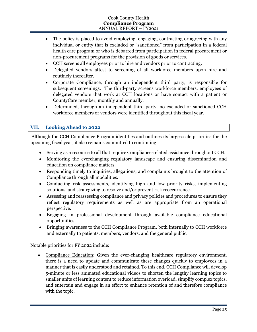- The policy is placed to avoid employing, engaging, contracting or agreeing with any individual or entity that is excluded or "sanctioned" from participation in a federal health care program or who is debarred from participation in federal procurement or non-procurement programs for the provision of goods or services.
- CCH screens all employees prior to hire and vendors prior to contracting.
- Delegated vendors attest to screening of all workforce members upon hire and routinely thereafter.
- Corporate Compliance, through an independent third party, is responsible for subsequent screenings. The third-party screens workforce members, employees of delegated vendors that work at CCH locations or have contact with a patient or CountyCare member, monthly and annually.
- Determined, through an independent third party, no excluded or sanctioned CCH workforce members or vendors were identified throughout this fiscal year.

# **VII. Looking Ahead to 2022**

Although the CCH Compliance Program identifies and outlines its large-scale priorities for the upcoming fiscal year, it also remains committed to continuing:

- Serving as a resource to all that require Compliance-related assistance throughout CCH.
- Monitoring the everchanging regulatory landscape and ensuring dissemination and education on compliance matters.
- Responding timely to inquiries, allegations, and complaints brought to the attention of Compliance through all modalities.
- Conducting risk assessments, identifying high and low priority risks, implementing solutions, and strategizing to resolve and/or prevent risk reoccurrence.
- Assessing and reassessing compliance and privacy policies and procedures to ensure they reflect regulatory requirements as well as are appropriate from an operational perspective.
- Engaging in professional development through available compliance educational opportunities.
- Bringing awareness to the CCH Compliance Program, both internally to CCH workforce and externally to patients, members, vendors, and the general public.

Notable priorities for FY 2022 include:

• Compliance Education: Given the ever-changing healthcare regulatory environment, there is a need to update and communicate these changes quickly to employees in a manner that is easily understood and retained. To this end, CCH Compliance will develop 5-minute or less animated educational videos to shorten the lengthy learning topics to smaller units of learning content to reduce information overload, simplify complex topics, and entertain and engage in an effort to enhance retention of and therefore compliance with the topic.